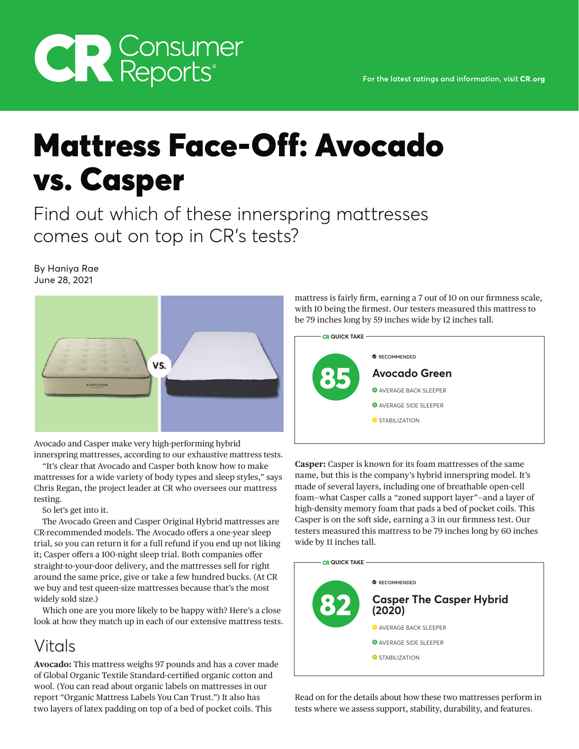# **CR Consumer**<br>Reports®

## Mattress Face-Off: Avocado vs. Casper

Find out which of these innerspring mattresses comes out on top in CR's tests?

By Haniya Rae June 28, 2021



Avocado and Casper make very high-performing hybrid innerspring mattresses, according to our exhaustive mattress tests.

"It's clear that Avocado and Casper both know how to make mattresses for a wide variety of body types and sleep styles," says Chris Regan, the project leader at CR who oversees our mattress testing.

So let's get into it.

The Avocado Green and Casper Original Hybrid mattresses are CR-recommended models. The Avocado offers a one-year sleep trial, so you can return it for a full refund if you end up not liking it; Casper offers a 100-night sleep trial. Both companies offer straight-to-your-door delivery, and the mattresses sell for right around the same price, give or take a few hundred bucks. (At CR we buy and test queen-size mattresses because that's the most widely sold size.)

Which one are you more likely to be happy with? Here's a close look at how they match up in each of our extensive mattress tests.

### Vitals

**Avocado:** This mattress weighs 97 pounds and has a cover made of Global Organic Textile Standard-certified organic cotton and wool. (You can read about organic labels on mattresses in our report "Organic Mattress Labels You Can Trust.") It also has two layers of latex padding on top of a bed of pocket coils. This

mattress is fairly firm, earning a 7 out of 10 on our firmness scale, with 10 being the firmest. Our testers measured this mattress to be 79 inches long by 59 inches wide by 12 inches tall.



**Casper:** Casper is known for its foam mattresses of the same name, but this is the company's hybrid innerspring model. It's made of several layers, including one of breathable open-cell foam—what Casper calls a "zoned support layer"—and a layer of high-density memory foam that pads a bed of pocket coils. This Casper is on the soft side, earning a 3 in our firmness test. Our testers measured this mattress to be 79 inches long by 60 inches wide by 11 inches tall.



Read on for the details about how these two mattresses perform in tests where we assess support, stability, durability, and features.